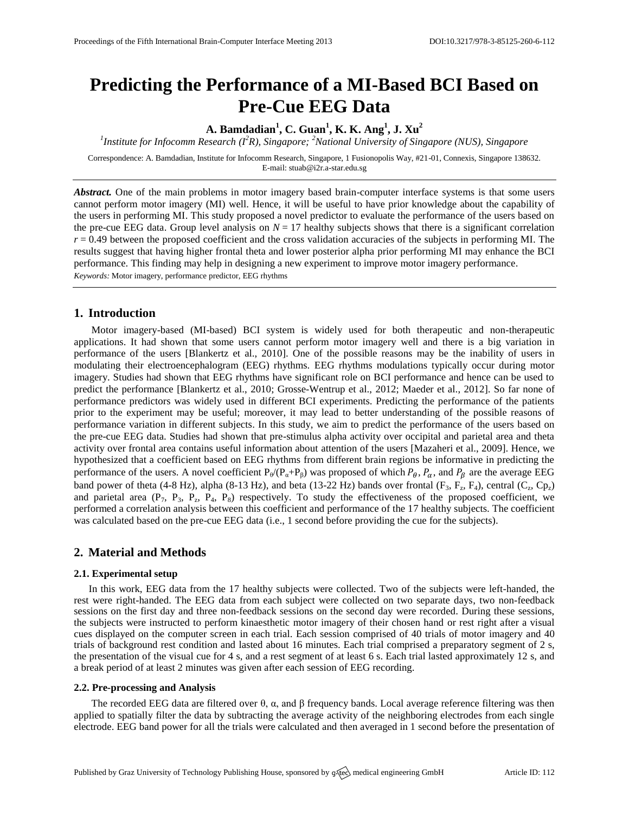# **Predicting the Performance of a MI-Based BCI Based on Pre-Cue EEG Data**

**A. Bamdadian<sup>1</sup> , C. Guan<sup>1</sup> , K. K. Ang<sup>1</sup> , J. Xu<sup>2</sup>**

*1 Institute for Infocomm Research (I<sup>2</sup>R), Singapore; <sup>2</sup>National University of Singapore (NUS), Singapore*

Correspondence: A. Bamdadian, Institute for Infocomm Research, Singapore, 1 Fusionopolis Way, #21-01, Connexis, Singapore 138632. E-mail[: stuab@i2r.a-star.edu.sg](mailto:stuab@i2r.a-star.edu.sg)

*Abstract.* One of the main problems in motor imagery based brain-computer interface systems is that some users cannot perform motor imagery (MI) well. Hence, it will be useful to have prior knowledge about the capability of the users in performing MI. This study proposed a novel predictor to evaluate the performance of the users based on the pre-cue EEG data. Group level analysis on  $N = 17$  healthy subjects shows that there is a significant correlation  $r = 0.49$  between the proposed coefficient and the cross validation accuracies of the subjects in performing MI. The results suggest that having higher frontal theta and lower posterior alpha prior performing MI may enhance the BCI performance. This finding may help in designing a new experiment to improve motor imagery performance. *Keywords:* Motor imagery, performance predictor, EEG rhythms

## **1. Introduction**

Motor imagery-based (MI-based) BCI system is widely used for both therapeutic and non-therapeutic applications. It had shown that some users cannot perform motor imagery well and there is a big variation in performance of the users [Blankertz et al., 2010]. One of the possible reasons may be the inability of users in modulating their electroencephalogram (EEG) rhythms. EEG rhythms modulations typically occur during motor imagery. Studies had shown that EEG rhythms have significant role on BCI performance and hence can be used to predict the performance [Blankertz et al., 2010; Grosse-Wentrup et al., 2012; Maeder et al., 2012]. So far none of performance predictors was widely used in different BCI experiments. Predicting the performance of the patients prior to the experiment may be useful; moreover, it may lead to better understanding of the possible reasons of performance variation in different subjects. In this study, we aim to predict the performance of the users based on the pre-cue EEG data. Studies had shown that pre-stimulus alpha activity over occipital and parietal area and theta activity over frontal area contains useful information about attention of the users [Mazaheri et al., 2009]. Hence, we hypothesized that a coefficient based on EEG rhythms from different brain regions be informative in predicting the performance of the users. A novel coefficient  $P_{\theta}(P_{\alpha}+P_{\beta})$  was proposed of which  $P_{\theta}$ ,  $P_{\alpha}$ , and  $P_{\beta}$  are the average EEG band power of theta (4-8 Hz), alpha (8-13 Hz), and beta (13-22 Hz) bands over frontal  $(F_3, F_2, F_4)$ , central  $(C_2, Cp_2)$ and parietal area  $(P_7, P_3, P_z, P_4, P_8)$  respectively. To study the effectiveness of the proposed coefficient, we performed a correlation analysis between this coefficient and performance of the 17 healthy subjects. The coefficient was calculated based on the pre-cue EEG data (i.e., 1 second before providing the cue for the subjects).

## **2. Material and Methods**

#### **2.1. Experimental setup**

In this work, EEG data from the 17 healthy subjects were collected. Two of the subjects were left-handed, the rest were right-handed. The EEG data from each subject were collected on two separate days, two non-feedback sessions on the first day and three non-feedback sessions on the second day were recorded. During these sessions, the subjects were instructed to perform kinaesthetic motor imagery of their chosen hand or rest right after a visual cues displayed on the computer screen in each trial. Each session comprised of 40 trials of motor imagery and 40 trials of background rest condition and lasted about 16 minutes. Each trial comprised a preparatory segment of 2 s, the presentation of the visual cue for 4 s, and a rest segment of at least 6 s. Each trial lasted approximately 12 s, and a break period of at least 2 minutes was given after each session of EEG recording.

#### **2.2. Pre-processing and Analysis**

The recorded EEG data are filtered over  $\theta$ ,  $\alpha$ , and  $\beta$  frequency bands. Local average reference filtering was then applied to spatially filter the data by subtracting the average activity of the neighboring electrodes from each single electrode. EEG band power for all the trials were calculated and then averaged in 1 second before the presentation of